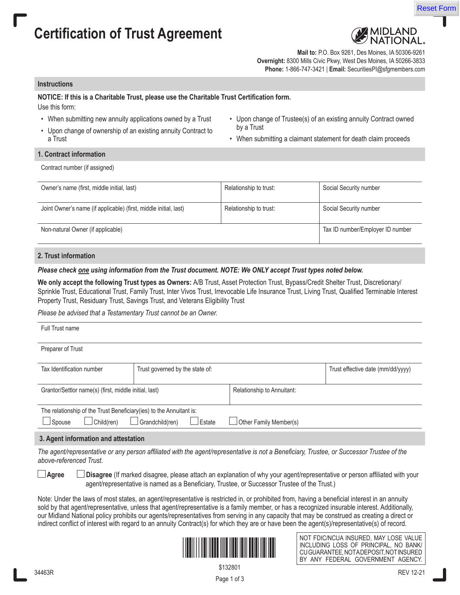# **Certification of Trust Agreement**



Reset Form

**Mail to:** P.O. Box 9261, Des Moines, IA 50306-9261 **Overnight:** 8300 Mills Civic Pkwy, West Des Moines, IA 50266-3833 **Phone:** 1-866-747-3421 | **Email:** SecuritiesPI@sfgmembers.com

## **Instructions**

## **NOTICE: If this is a Charitable Trust, please use the Charitable Trust Certification form.**

Use this form:

- When submitting new annuity applications owned by a Trust
- Upon change of ownership of an existing annuity Contract to a Trust
- Upon change of Trustee(s) of an existing annuity Contract owned by a Trust
- When submitting a claimant statement for death claim proceeds

**1. Contract information**

Contract number (if assigned)

| Owner's name (first, middle initial, last)                       | Relationship to trust: | Social Security number           |
|------------------------------------------------------------------|------------------------|----------------------------------|
| Joint Owner's name (if applicable) (first, middle initial, last) | Relationship to trust: | Social Security number           |
| Non-natural Owner (if applicable)                                |                        | Tax ID number/Employer ID number |

## **2. Trust information**

## *Please check one using information from the Trust document. NOTE: We ONLY accept Trust types noted below.*

**We only accept the following Trust types as Owners:** A/B Trust, Asset Protection Trust, Bypass/Credit Shelter Trust, Discretionary/ Sprinkle Trust, Educational Trust, Family Trust, Inter Vivos Trust, Irrevocable Life Insurance Trust, Living Trust, Qualified Terminable Interest Property Trust, Residuary Trust, Savings Trust, and Veterans Eligibility Trust

*Please be advised that a Testamentary Trust cannot be an Owner.*

| Full Trust name                                                      |                                 |                            |                                   |  |
|----------------------------------------------------------------------|---------------------------------|----------------------------|-----------------------------------|--|
| Preparer of Trust                                                    |                                 |                            |                                   |  |
| Tax Identification number                                            | Trust governed by the state of: |                            | Trust effective date (mm/dd/yyyy) |  |
| Grantor/Settlor name(s) (first, middle initial, last)                |                                 | Relationship to Annuitant: |                                   |  |
| The relationship of the Trust Beneficiary (ies) to the Annuitant is: |                                 |                            |                                   |  |
| Child(ren)<br>Spouse                                                 | Grandchild(ren)<br>Estate       | Other Family Member(s)     |                                   |  |
| 3. Agent information and attestation                                 |                                 |                            |                                   |  |

*The agent/representative or any person affiliated with the agent/representative is not a Beneficiary, Trustee, or Successor Trustee of the above-referenced Trust.*

 **Agree Disagree** (If marked disagree, please attach an explanation of why your agent/representative or person affiliated with your agent/representative is named as a Beneficiary, Trustee, or Successor Trustee of the Trust.)

Note: Under the laws of most states, an agent/representative is restricted in, or prohibited from, having a beneficial interest in an annuity sold by that agent/representative, unless that agent/representative is a family member, or has a recognized insurable interest. Additionally, our Midland National policy prohibits our agents/representatives from serving in any capacity that may be construed as creating a direct or indirect conflict of interest with regard to an annuity Contract(s) for which they are or have been the agent(s)/representative(s) of record.



NOT FDIC/NCUA INSURED, MAY LOSE VALUE INCLUDING LOSS OF PRINCIPAL, NO BANK/ CU GUARANTEE, NOTA DEPOSIT, NOT INSURED BY ANY FEDERAL GOVERNMENT AGENCY.

\$132801

Page 1 of 3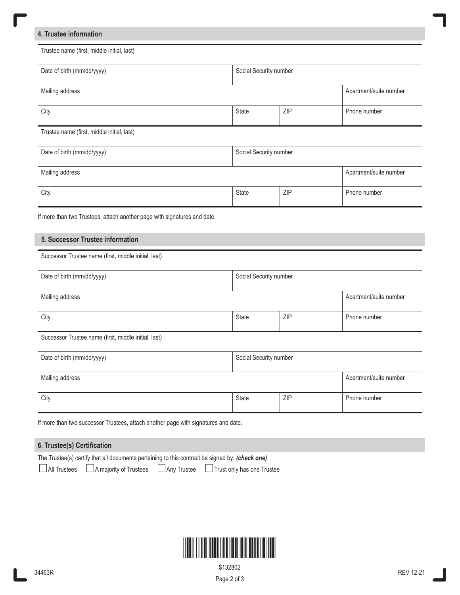## **4. Trustee information**

ſ

| Date of birth (mm/dd/yyyy)                                               |                        | Social Security number |                        |
|--------------------------------------------------------------------------|------------------------|------------------------|------------------------|
| Mailing address                                                          |                        | Apartment/suite number |                        |
| City                                                                     | <b>State</b>           | ZIP                    | Phone number           |
| Trustee name (first, middle initial, last)                               |                        |                        |                        |
| Date of birth (mm/dd/yyyy)                                               |                        | Social Security number |                        |
| Mailing address                                                          |                        |                        |                        |
|                                                                          |                        | ZIP                    | Phone number           |
| City                                                                     | <b>State</b>           |                        |                        |
| If more than two Trustees, attach another page with signatures and date. |                        |                        |                        |
|                                                                          |                        |                        |                        |
| 5. Successor Trustee information                                         |                        |                        |                        |
| Successor Trustee name (first, middle initial, last)                     |                        |                        |                        |
| Date of birth (mm/dd/yyyy)                                               | Social Security number |                        |                        |
| Mailing address                                                          |                        |                        |                        |
| City                                                                     | State                  | ZIP                    | Phone number           |
| Successor Trustee name (first, middle initial, last)                     |                        |                        | Apartment/suite number |
| Date of birth (mm/dd/yyyy)                                               | Social Security number |                        |                        |
| Mailing address                                                          |                        |                        | Apartment/suite number |

## **6. Trustee(s) Certification**

| The Trustee(s) certify that all documents pertaining to this contract be signed by: (check one) |                                                                                    |
|-------------------------------------------------------------------------------------------------|------------------------------------------------------------------------------------|
|                                                                                                 | □ All Trustees △ A majority of Trustees △ Any Trustee □ Trust only has one Trustee |



 $\overline{\phantom{a}}$ 

Page 2 of 3